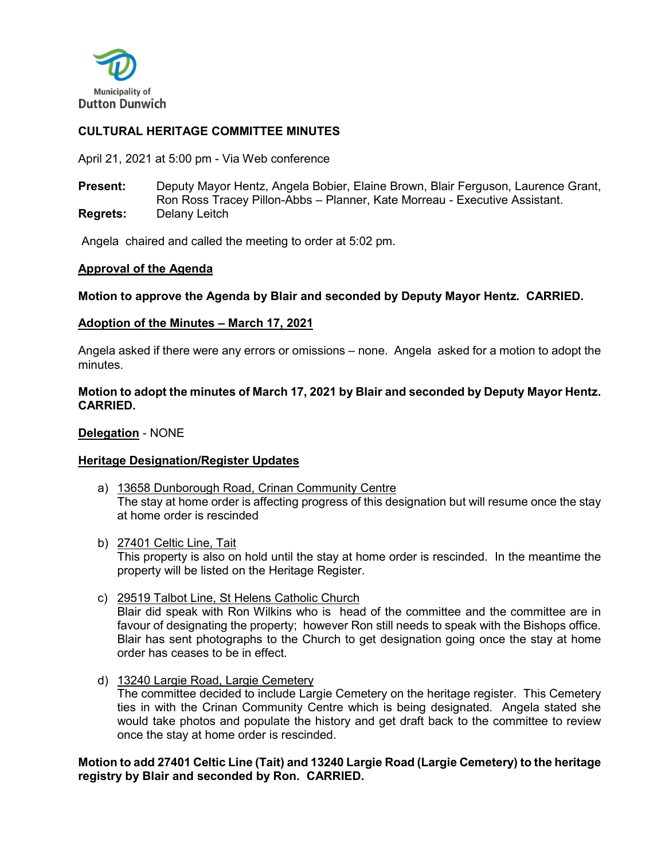

# **CULTURAL HERITAGE COMMITTEE MINUTES**

April 21, 2021 at 5:00 pm - Via Web conference

**Present:** Deputy Mayor Hentz, Angela Bobier, Elaine Brown, Blair Ferguson, Laurence Grant, Ron Ross Tracey Pillon-Abbs – Planner, Kate Morreau - Executive Assistant. **Regrets:** Delany Leitch

Angela chaired and called the meeting to order at 5:02 pm.

### **Approval of the Agenda**

**Motion to approve the Agenda by Blair and seconded by Deputy Mayor Hentz. CARRIED.**

### **Adoption of the Minutes – March 17, 2021**

Angela asked if there were any errors or omissions – none. Angela asked for a motion to adopt the minutes.

### **Motion to adopt the minutes of March 17, 2021 by Blair and seconded by Deputy Mayor Hentz. CARRIED.**

**Delegation** - NONE

### **Heritage Designation/Register Updates**

- a) 13658 Dunborough Road, Crinan Community Centre The stay at home order is affecting progress of this designation but will resume once the stay at home order is rescinded
- b) 27401 Celtic Line, Tait This property is also on hold until the stay at home order is rescinded. In the meantime the property will be listed on the Heritage Register.
- c) 29519 Talbot Line, St Helens Catholic Church Blair did speak with Ron Wilkins who is head of the committee and the committee are in favour of designating the property; however Ron still needs to speak with the Bishops office. Blair has sent photographs to the Church to get designation going once the stay at home order has ceases to be in effect.
- d) 13240 Largie Road, Largie Cemetery The committee decided to include Largie Cemetery on the heritage register. This Cemetery ties in with the Crinan Community Centre which is being designated. Angela stated she would take photos and populate the history and get draft back to the committee to review once the stay at home order is rescinded.

**Motion to add 27401 Celtic Line (Tait) and 13240 Largie Road (Largie Cemetery) to the heritage registry by Blair and seconded by Ron. CARRIED.**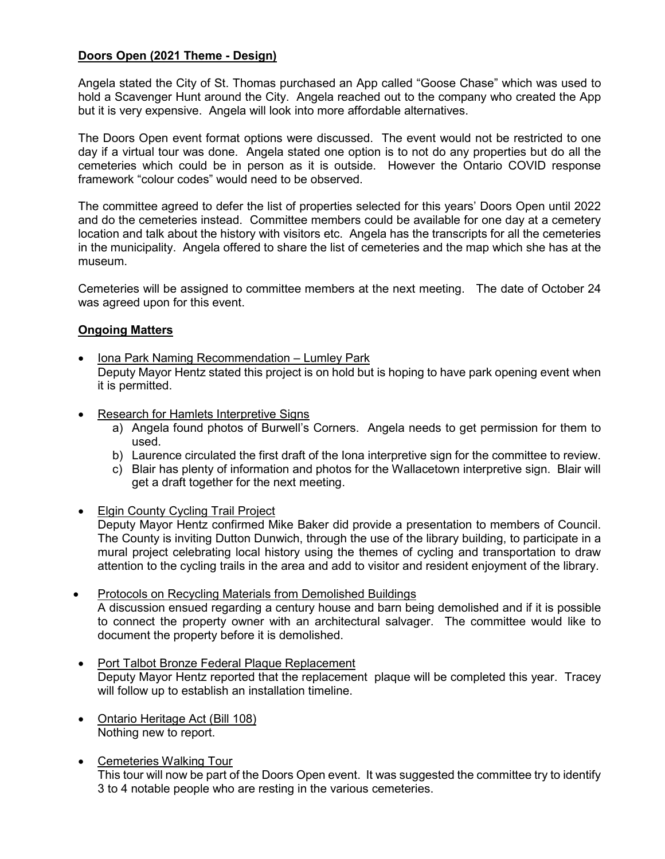# **Doors Open (2021 Theme - Design)**

Angela stated the City of St. Thomas purchased an App called "Goose Chase" which was used to hold a Scavenger Hunt around the City. Angela reached out to the company who created the App but it is very expensive. Angela will look into more affordable alternatives.

The Doors Open event format options were discussed. The event would not be restricted to one day if a virtual tour was done. Angela stated one option is to not do any properties but do all the cemeteries which could be in person as it is outside. However the Ontario COVID response framework "colour codes" would need to be observed.

The committee agreed to defer the list of properties selected for this years' Doors Open until 2022 and do the cemeteries instead. Committee members could be available for one day at a cemetery location and talk about the history with visitors etc. Angela has the transcripts for all the cemeteries in the municipality. Angela offered to share the list of cemeteries and the map which she has at the museum.

Cemeteries will be assigned to committee members at the next meeting. The date of October 24 was agreed upon for this event.

# **Ongoing Matters**

- Iona Park Naming Recommendation Lumley Park Deputy Mayor Hentz stated this project is on hold but is hoping to have park opening event when it is permitted.
- Research for Hamlets Interpretive Signs
	- a) Angela found photos of Burwell's Corners. Angela needs to get permission for them to used.
	- b) Laurence circulated the first draft of the Iona interpretive sign for the committee to review.
	- c) Blair has plenty of information and photos for the Wallacetown interpretive sign. Blair will get a draft together for the next meeting.
- Elgin County Cycling Trail Project

Deputy Mayor Hentz confirmed Mike Baker did provide a presentation to members of Council. The County is inviting Dutton Dunwich, through the use of the library building, to participate in a mural project celebrating local history using the themes of cycling and transportation to draw attention to the cycling trails in the area and add to visitor and resident enjoyment of the library.

- Protocols on Recycling Materials from Demolished Buildings A discussion ensued regarding a century house and barn being demolished and if it is possible to connect the property owner with an architectural salvager. The committee would like to document the property before it is demolished.
- Port Talbot Bronze Federal Plaque Replacement Deputy Mayor Hentz reported that the replacement plaque will be completed this year. Tracey will follow up to establish an installation timeline.
- Ontario Heritage Act (Bill 108) Nothing new to report.
- Cemeteries Walking Tour This tour will now be part of the Doors Open event. It was suggested the committee try to identify 3 to 4 notable people who are resting in the various cemeteries.